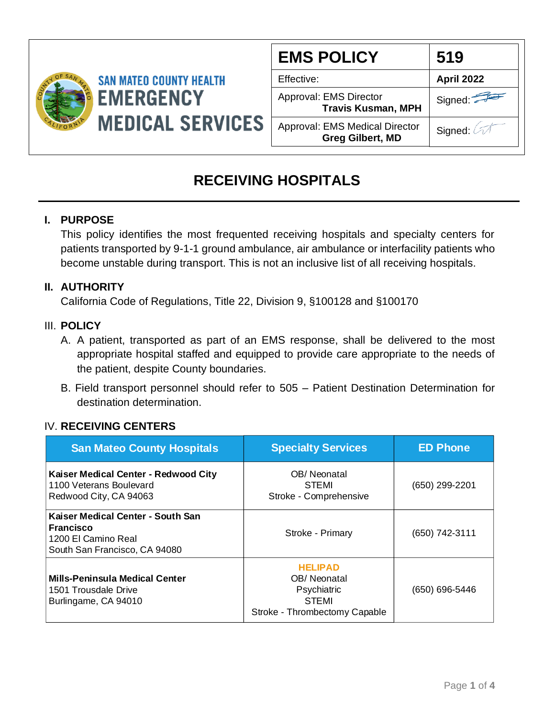

| <b>EMS POLICY</b>                                                | 519               |
|------------------------------------------------------------------|-------------------|
| Effective:                                                       | <b>April 2022</b> |
| Approval: EMS Director<br><b>Travis Kusman, MPH</b>              | Signed:           |
| <b>Approval: EMS Medical Director</b><br><b>Greg Gilbert, MD</b> | Signed:           |

## **RECEIVING HOSPITALS**

### **I. PURPOSE**

This policy identifies the most frequented receiving hospitals and specialty centers for patients transported by 9-1-1 ground ambulance, air ambulance or interfacility patients who become unstable during transport. This is not an inclusive list of all receiving hospitals.

#### **II. AUTHORITY**

California Code of Regulations, Title 22, Division 9, §100128 and §100170

#### III. **POLICY**

- A. A patient, transported as part of an EMS response, shall be delivered to the most appropriate hospital staffed and equipped to provide care appropriate to the needs of the patient, despite County boundaries.
- B. Field transport personnel should refer to 505 Patient Destination Determination for destination determination.

### IV. **RECEIVING CENTERS**

| <b>San Mateo County Hospitals</b>                                                                      | <b>Specialty Services</b>                                                                     | <b>ED Phone</b> |
|--------------------------------------------------------------------------------------------------------|-----------------------------------------------------------------------------------------------|-----------------|
| Kaiser Medical Center - Redwood City<br>1100 Veterans Boulevard<br>Redwood City, CA 94063              | OB/Neonatal<br><b>STEMI</b><br>Stroke - Comprehensive                                         | (650) 299-2201  |
| Kaiser Medical Center - South San<br>Francisco<br>1200 El Camino Real<br>South San Francisco, CA 94080 | Stroke - Primary                                                                              | (650) 742-3111  |
| Mills-Peninsula Medical Center<br>1501 Trousdale Drive<br>Burlingame, CA 94010                         | <b>HELIPAD</b><br>OB/Neonatal<br>Psychiatric<br><b>STEMI</b><br>Stroke - Thrombectomy Capable | (650) 696-5446  |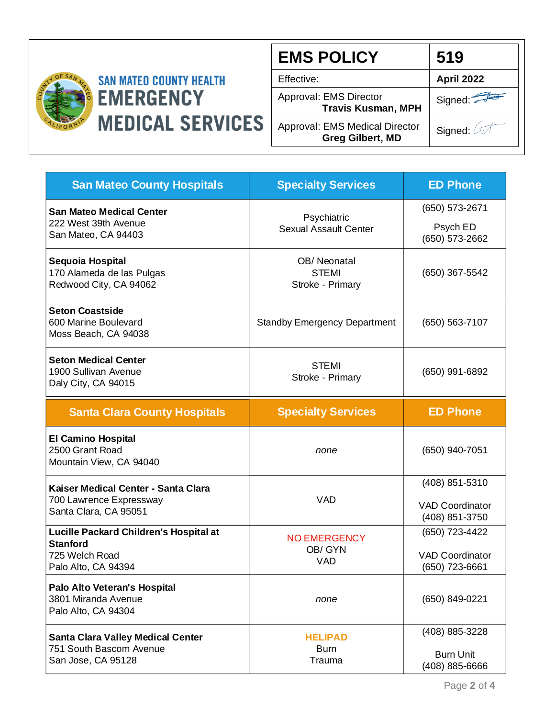

# **SAN MATEO COUNTY HEALTH EMERGENCY MEDICAL SERVICES**

| <b>EMS POLICY</b>                                                | 519               |
|------------------------------------------------------------------|-------------------|
| Effective:                                                       | <b>April 2022</b> |
| Approval: EMS Director<br><b>Travis Kusman, MPH</b>              | Signed:           |
| <b>Approval: EMS Medical Director</b><br><b>Greg Gilbert, MD</b> | Signed: 2         |

| <b>San Mateo County Hospitals</b>                                                                  | <b>Specialty Services</b>                       | <b>ED Phone</b>                                            |
|----------------------------------------------------------------------------------------------------|-------------------------------------------------|------------------------------------------------------------|
| <b>San Mateo Medical Center</b><br>222 West 39th Avenue<br>San Mateo, CA 94403                     | Psychiatric<br><b>Sexual Assault Center</b>     | (650) 573-2671<br>Psych ED<br>(650) 573-2662               |
| Sequoia Hospital<br>170 Alameda de las Pulgas<br>Redwood City, CA 94062                            | OB/Neonatal<br><b>STEMI</b><br>Stroke - Primary | (650) 367-5542                                             |
| <b>Seton Coastside</b><br>600 Marine Boulevard<br>Moss Beach, CA 94038                             | <b>Standby Emergency Department</b>             | $(650) 563 - 7107$                                         |
| <b>Seton Medical Center</b><br>1900 Sullivan Avenue<br>Daly City, CA 94015                         | <b>STEMI</b><br>Stroke - Primary                | (650) 991-6892                                             |
| <b>Santa Clara County Hospitals</b>                                                                | <b>Specialty Services</b>                       | <b>ED Phone</b>                                            |
| <b>El Camino Hospital</b><br>2500 Grant Road<br>Mountain View, CA 94040                            | none                                            | (650) 940-7051                                             |
| Kaiser Medical Center - Santa Clara<br>700 Lawrence Expressway<br>Santa Clara, CA 95051            | <b>VAD</b>                                      | (408) 851-5310<br><b>VAD Coordinator</b><br>(408) 851-3750 |
| Lucille Packard Children's Hospital at<br><b>Stanford</b><br>725 Welch Road<br>Palo Alto, CA 94394 | <b>NO EMERGENCY</b><br>OB/ GYN<br><b>VAD</b>    | (650) 723-4422<br><b>VAD Coordinator</b><br>(650) 723-6661 |
| Palo Alto Veteran's Hospital<br>3801 Miranda Avenue<br>Palo Alto, CA 94304                         | none                                            | (650) 849-0221                                             |
| <b>Santa Clara Valley Medical Center</b><br>751 South Bascom Avenue<br>San Jose, CA 95128          | <b>HELIPAD</b><br><b>Burn</b><br>Trauma         | (408) 885-3228<br><b>Burn Unit</b><br>(408) 885-6666       |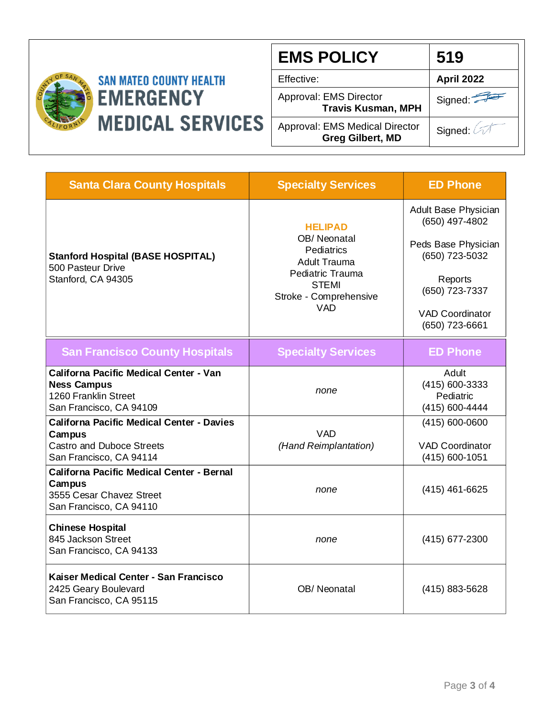

| <b>EMS POLICY</b>                                         | 519                   |
|-----------------------------------------------------------|-----------------------|
| Effective:                                                | <b>April 2022</b>     |
| Approval: EMS Director<br><b>Travis Kusman, MPH</b>       | Signed:               |
| Approval: EMS Medical Director<br><b>Greg Gilbert, MD</b> | Signed: $\oslash\top$ |

| <b>Santa Clara County Hospitals</b>                                                                                    | <b>Specialty Services</b>                                          | <b>ED Phone</b>                                        |
|------------------------------------------------------------------------------------------------------------------------|--------------------------------------------------------------------|--------------------------------------------------------|
|                                                                                                                        | <b>HELIPAD</b><br>OB/Neonatal<br>Pediatrics<br><b>Adult Trauma</b> | Adult Base Physician<br>(650) 497-4802                 |
| <b>Stanford Hospital (BASE HOSPITAL)</b><br>500 Pasteur Drive<br>Stanford, CA 94305                                    |                                                                    | Peds Base Physician<br>(650) 723-5032                  |
|                                                                                                                        | Pediatric Trauma<br><b>STEMI</b><br>Stroke - Comprehensive         | Reports<br>(650) 723-7337                              |
|                                                                                                                        | <b>VAD</b>                                                         | <b>VAD Coordinator</b><br>(650) 723-6661               |
| <b>San Francisco County Hospitals</b>                                                                                  | <b>Specialty Services</b>                                          | <b>ED Phone</b>                                        |
| <b>Californa Pacific Medical Center - Van</b><br><b>Ness Campus</b><br>1260 Franklin Street<br>San Francisco, CA 94109 | none                                                               | Adult<br>(415) 600-3333<br>Pediatric<br>(415) 600-4444 |
| <b>Californa Pacific Medical Center - Davies</b><br>Campus                                                             | <b>VAD</b>                                                         | (415) 600-0600                                         |
| <b>Castro and Duboce Streets</b><br>San Francisco, CA 94114                                                            | (Hand Reimplantation)                                              | <b>VAD Coordinator</b><br>(415) 600-1051               |
| <b>Californa Pacific Medical Center - Bernal</b><br>Campus<br>3555 Cesar Chavez Street<br>San Francisco, CA 94110      | none                                                               | $(415)$ 461-6625                                       |
| <b>Chinese Hospital</b><br>845 Jackson Street<br>San Francisco, CA 94133                                               | none                                                               | (415) 677-2300                                         |
| Kaiser Medical Center - San Francisco<br>2425 Geary Boulevard<br>San Francisco, CA 95115                               | OB/Neonatal                                                        | (415) 883-5628                                         |